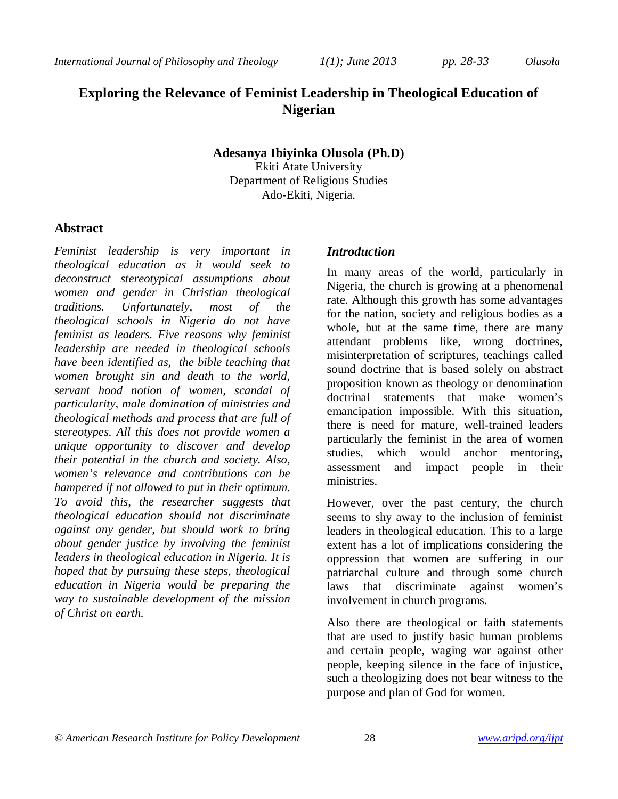# **Exploring the Relevance of Feminist Leadership in Theological Education of Nigerian**

### **Adesanya Ibiyinka Olusola (Ph.D)**

Ekiti Atate University Department of Religious Studies Ado-Ekiti, Nigeria.

### **Abstract**

*Feminist leadership is very important in theological education as it would seek to deconstruct stereotypical assumptions about women and gender in Christian theological traditions. Unfortunately, most of the theological schools in Nigeria do not have feminist as leaders. Five reasons why feminist leadership are needed in theological schools have been identified as, the bible teaching that women brought sin and death to the world, servant hood notion of women, scandal of particularity, male domination of ministries and theological methods and process that are full of stereotypes. All this does not provide women a unique opportunity to discover and develop their potential in the church and society. Also, women's relevance and contributions can be hampered if not allowed to put in their optimum. To avoid this, the researcher suggests that theological education should not discriminate against any gender, but should work to bring about gender justice by involving the feminist leaders in theological education in Nigeria. It is hoped that by pursuing these steps, theological education in Nigeria would be preparing the way to sustainable development of the mission of Christ on earth.*

### *Introduction*

In many areas of the world, particularly in Nigeria, the church is growing at a phenomenal rate. Although this growth has some advantages for the nation, society and religious bodies as a whole, but at the same time, there are many attendant problems like, wrong doctrines, misinterpretation of scriptures, teachings called sound doctrine that is based solely on abstract proposition known as theology or denomination doctrinal statements that make women's emancipation impossible. With this situation, there is need for mature, well-trained leaders particularly the feminist in the area of women studies, which would anchor mentoring, assessment and impact people in their ministries.

However, over the past century, the church seems to shy away to the inclusion of feminist leaders in theological education. This to a large extent has a lot of implications considering the oppression that women are suffering in our patriarchal culture and through some church laws that discriminate against women's involvement in church programs.

Also there are theological or faith statements that are used to justify basic human problems and certain people, waging war against other people, keeping silence in the face of injustice, such a theologizing does not bear witness to the purpose and plan of God for women.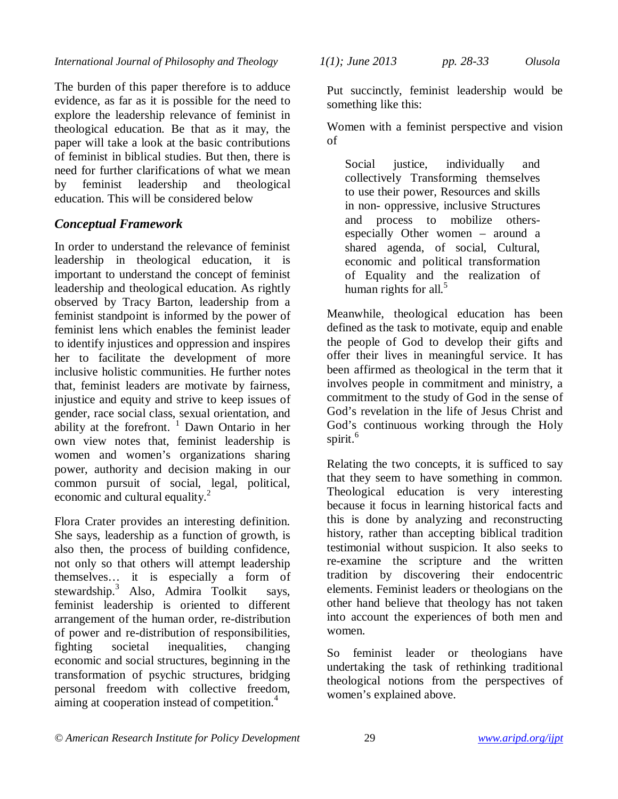*International Journal of Philosophy and Theology 1(1); June 2013 pp. 28-33 Olusola*

The burden of this paper therefore is to adduce evidence, as far as it is possible for the need to explore the leadership relevance of feminist in theological education. Be that as it may, the paper will take a look at the basic contributions of feminist in biblical studies. But then, there is need for further clarifications of what we mean by feminist leadership and theological education. This will be considered below

## *Conceptual Framework*

In order to understand the relevance of feminist leadership in theological education, it is important to understand the concept of feminist leadership and theological education. As rightly observed by Tracy Barton, leadership from a feminist standpoint is informed by the power of feminist lens which enables the feminist leader to identify injustices and oppression and inspires her to facilitate the development of more inclusive holistic communities. He further notes that, feminist leaders are motivate by fairness, injustice and equity and strive to keep issues of gender, race social class, sexual orientation, and ability at the forefront.  $\frac{1}{1}$  Dawn Ontario in her own view notes that, feminist leadership is women and women's organizations sharing power, authority and decision making in our common pursuit of social, legal, political, economic and cultural equality.<sup>2</sup>

Flora Crater provides an interesting definition. She says, leadership as a function of growth, is also then, the process of building confidence, not only so that others will attempt leadership themselves… it is especially a form of stewardship.<sup>3</sup> Also, Admira Toolkit says, feminist leadership is oriented to different arrangement of the human order, re-distribution of power and re-distribution of responsibilities, fighting societal inequalities, changing economic and social structures, beginning in the transformation of psychic structures, bridging personal freedom with collective freedom, aiming at cooperation instead of competition.<sup>4</sup>

Put succinctly, feminist leadership would be something like this:

Women with a feminist perspective and vision of

Social justice, individually and collectively Transforming themselves to use their power, Resources and skills in non- oppressive, inclusive Structures and process to mobilize othersespecially Other women – around a shared agenda, of social, Cultural, economic and political transformation of Equality and the realization of human rights for all.<sup>5</sup>

Meanwhile, theological education has been defined as the task to motivate, equip and enable the people of God to develop their gifts and offer their lives in meaningful service. It has been affirmed as theological in the term that it involves people in commitment and ministry, a commitment to the study of God in the sense of God's revelation in the life of Jesus Christ and God's continuous working through the Holy spirit.<sup>6</sup>

Relating the two concepts, it is sufficed to say that they seem to have something in common. Theological education is very interesting because it focus in learning historical facts and this is done by analyzing and reconstructing history, rather than accepting biblical tradition testimonial without suspicion. It also seeks to re-examine the scripture and the written tradition by discovering their endocentric elements. Feminist leaders or theologians on the other hand believe that theology has not taken into account the experiences of both men and women.

So feminist leader or theologians have undertaking the task of rethinking traditional theological notions from the perspectives of women's explained above.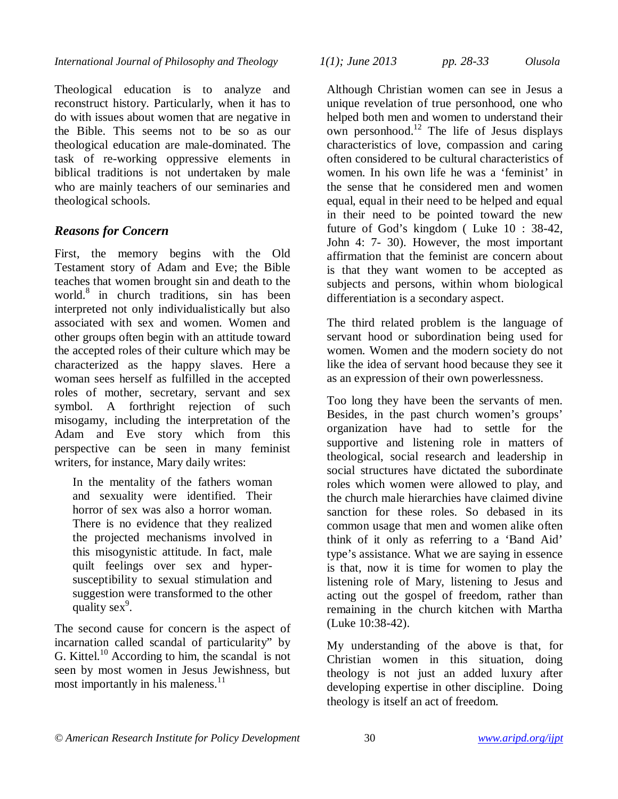Theological education is to analyze and reconstruct history. Particularly, when it has to do with issues about women that are negative in the Bible. This seems not to be so as our theological education are male-dominated. The task of re-working oppressive elements in biblical traditions is not undertaken by male who are mainly teachers of our seminaries and theological schools.

## *Reasons for Concern*

First, the memory begins with the Old Testament story of Adam and Eve; the Bible teaches that women brought sin and death to the world.<sup>8</sup> in church traditions, sin has been interpreted not only individualistically but also associated with sex and women. Women and other groups often begin with an attitude toward the accepted roles of their culture which may be characterized as the happy slaves. Here a woman sees herself as fulfilled in the accepted roles of mother, secretary, servant and sex symbol. A forthright rejection of such misogamy, including the interpretation of the Adam and Eve story which from this perspective can be seen in many feminist writers, for instance, Mary daily writes:

In the mentality of the fathers woman and sexuality were identified. Their horror of sex was also a horror woman. There is no evidence that they realized the projected mechanisms involved in this misogynistic attitude. In fact, male quilt feelings over sex and hypersusceptibility to sexual stimulation and suggestion were transformed to the other quality  $sex^9$ .

The second cause for concern is the aspect of incarnation called scandal of particularity" by G. Kittel.<sup>10</sup> According to him, the scandal is not seen by most women in Jesus Jewishness, but most importantly in his maleness. $11$ 

*International Journal of Philosophy and Theology 1(1); June 2013 pp. 28-33 Olusola*

Although Christian women can see in Jesus a unique revelation of true personhood, one who helped both men and women to understand their own personhood.<sup>12</sup> The life of Jesus displays characteristics of love, compassion and caring often considered to be cultural characteristics of women. In his own life he was a 'feminist' in the sense that he considered men and women equal, equal in their need to be helped and equal in their need to be pointed toward the new future of God's kingdom ( Luke 10 : 38-42, John 4: 7- 30). However, the most important affirmation that the feminist are concern about is that they want women to be accepted as subjects and persons, within whom biological differentiation is a secondary aspect.

The third related problem is the language of servant hood or subordination being used for women. Women and the modern society do not like the idea of servant hood because they see it as an expression of their own powerlessness.

Too long they have been the servants of men. Besides, in the past church women's groups' organization have had to settle for the supportive and listening role in matters of theological, social research and leadership in social structures have dictated the subordinate roles which women were allowed to play, and the church male hierarchies have claimed divine sanction for these roles. So debased in its common usage that men and women alike often think of it only as referring to a 'Band Aid' type's assistance. What we are saying in essence is that, now it is time for women to play the listening role of Mary, listening to Jesus and acting out the gospel of freedom, rather than remaining in the church kitchen with Martha (Luke 10:38-42).

My understanding of the above is that, for Christian women in this situation, doing theology is not just an added luxury after developing expertise in other discipline. Doing theology is itself an act of freedom.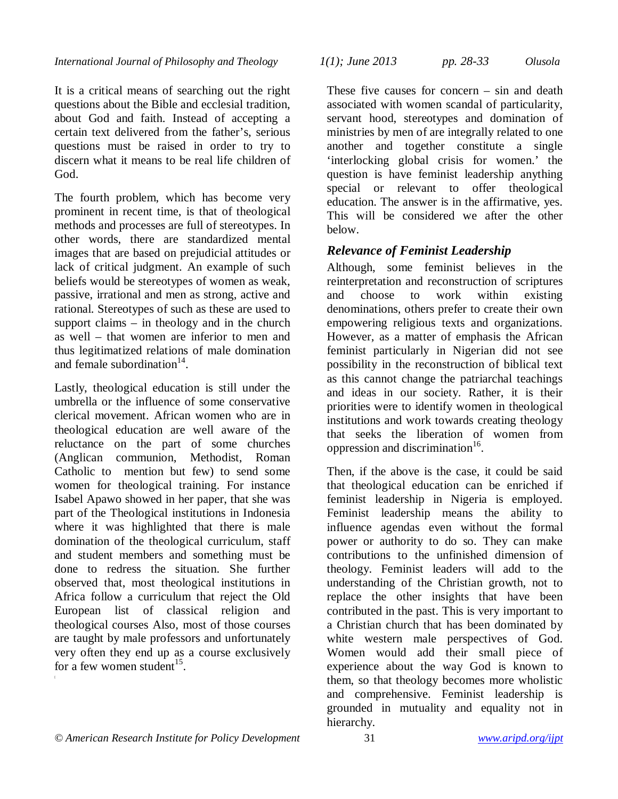It is a critical means of searching out the right questions about the Bible and ecclesial tradition, about God and faith. Instead of accepting a certain text delivered from the father's, serious questions must be raised in order to try to discern what it means to be real life children of God.

The fourth problem, which has become very prominent in recent time, is that of theological methods and processes are full of stereotypes. In other words, there are standardized mental images that are based on prejudicial attitudes or lack of critical judgment. An example of such beliefs would be stereotypes of women as weak, passive, irrational and men as strong, active and rational. Stereotypes of such as these are used to support claims – in theology and in the church as well – that women are inferior to men and thus legitimatized relations of male domination and female subordination $14$ .

Lastly, theological education is still under the umbrella or the influence of some conservative clerical movement. African women who are in theological education are well aware of the reluctance on the part of some churches (Anglican communion, Methodist, Roman Catholic to mention but few) to send some women for theological training. For instance Isabel Apawo showed in her paper, that she was part of the Theological institutions in Indonesia where it was highlighted that there is male domination of the theological curriculum, staff and student members and something must be done to redress the situation. She further observed that, most theological institutions in Africa follow a curriculum that reject the Old European list of classical religion and theological courses Also, most of those courses are taught by male professors and unfortunately very often they end up as a course exclusively for a few women student $^{15}$ .

[

*International Journal of Philosophy and Theology 1(1); June 2013 pp. 28-33 Olusola*

These five causes for concern – sin and death associated with women scandal of particularity, servant hood, stereotypes and domination of ministries by men of are integrally related to one another and together constitute a single 'interlocking global crisis for women.' the question is have feminist leadership anything special or relevant to offer theological education. The answer is in the affirmative, yes. This will be considered we after the other below.

## *Relevance of Feminist Leadership*

Although, some feminist believes in the reinterpretation and reconstruction of scriptures and choose to work within existing denominations, others prefer to create their own empowering religious texts and organizations. However, as a matter of emphasis the African feminist particularly in Nigerian did not see possibility in the reconstruction of biblical text as this cannot change the patriarchal teachings and ideas in our society. Rather, it is their priorities were to identify women in theological institutions and work towards creating theology that seeks the liberation of women from oppression and discrimination<sup>16</sup>.

Then, if the above is the case, it could be said that theological education can be enriched if feminist leadership in Nigeria is employed. Feminist leadership means the ability to influence agendas even without the formal power or authority to do so. They can make contributions to the unfinished dimension of theology. Feminist leaders will add to the understanding of the Christian growth, not to replace the other insights that have been contributed in the past. This is very important to a Christian church that has been dominated by white western male perspectives of God. Women would add their small piece of experience about the way God is known to them, so that theology becomes more wholistic and comprehensive. Feminist leadership is grounded in mutuality and equality not in hierarchy.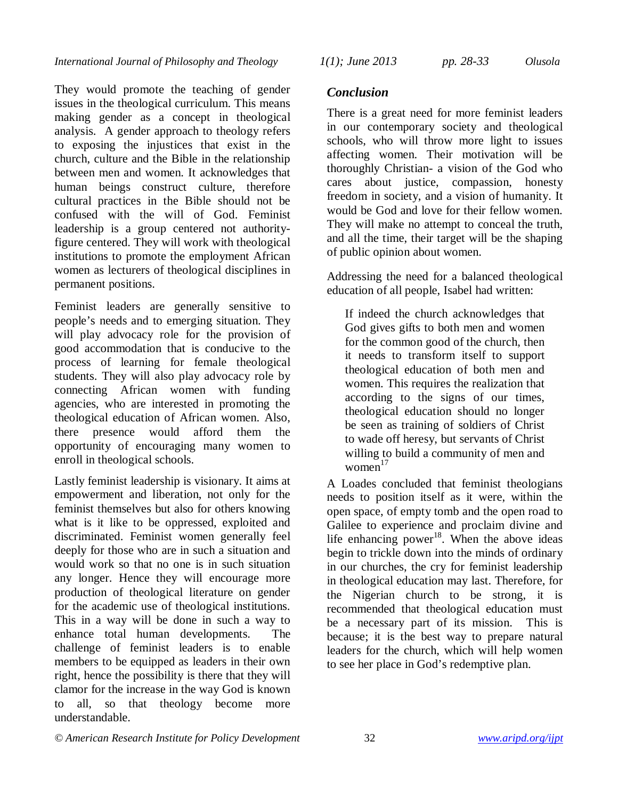They would promote the teaching of gender issues in the theological curriculum. This means making gender as a concept in theological analysis. A gender approach to theology refers to exposing the injustices that exist in the church, culture and the Bible in the relationship between men and women. It acknowledges that human beings construct culture, therefore cultural practices in the Bible should not be confused with the will of God. Feminist leadership is a group centered not authorityfigure centered. They will work with theological institutions to promote the employment African women as lecturers of theological disciplines in permanent positions.

Feminist leaders are generally sensitive to people's needs and to emerging situation. They will play advocacy role for the provision of good accommodation that is conducive to the process of learning for female theological students. They will also play advocacy role by connecting African women with funding agencies, who are interested in promoting the theological education of African women. Also, there presence would afford them the opportunity of encouraging many women to enroll in theological schools.

Lastly feminist leadership is visionary. It aims at empowerment and liberation, not only for the feminist themselves but also for others knowing what is it like to be oppressed, exploited and discriminated. Feminist women generally feel deeply for those who are in such a situation and would work so that no one is in such situation any longer. Hence they will encourage more production of theological literature on gender for the academic use of theological institutions. This in a way will be done in such a way to enhance total human developments. The challenge of feminist leaders is to enable members to be equipped as leaders in their own right, hence the possibility is there that they will clamor for the increase in the way God is known to all, so that theology become more understandable.

### *Conclusion*

There is a great need for more feminist leaders in our contemporary society and theological schools, who will throw more light to issues affecting women. Their motivation will be thoroughly Christian- a vision of the God who cares about justice, compassion, honesty freedom in society, and a vision of humanity. It would be God and love for their fellow women. They will make no attempt to conceal the truth. and all the time, their target will be the shaping of public opinion about women.

Addressing the need for a balanced theological education of all people, Isabel had written:

If indeed the church acknowledges that God gives gifts to both men and women for the common good of the church, then it needs to transform itself to support theological education of both men and women. This requires the realization that according to the signs of our times, theological education should no longer be seen as training of soldiers of Christ to wade off heresy, but servants of Christ willing to build a community of men and women $17$ 

A Loades concluded that feminist theologians needs to position itself as it were, within the open space, of empty tomb and the open road to Galilee to experience and proclaim divine and life enhancing power $18$ . When the above ideas begin to trickle down into the minds of ordinary in our churches, the cry for feminist leadership in theological education may last. Therefore, for the Nigerian church to be strong, it is recommended that theological education must be a necessary part of its mission. This is because; it is the best way to prepare natural leaders for the church, which will help women to see her place in God's redemptive plan.